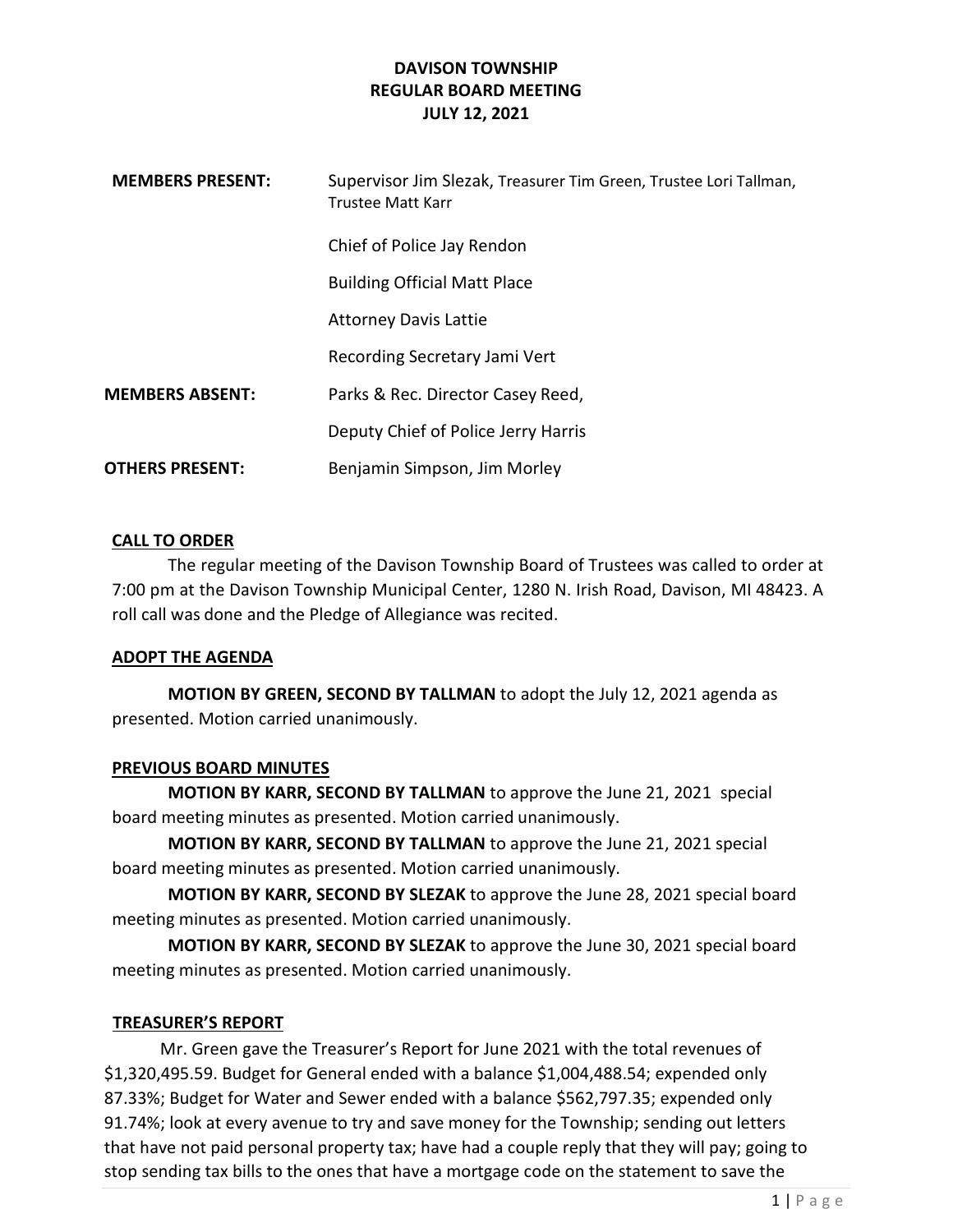| <b>MEMBERS PRESENT:</b> | Supervisor Jim Slezak, Treasurer Tim Green, Trustee Lori Tallman,<br>Trustee Matt Karr |
|-------------------------|----------------------------------------------------------------------------------------|
|                         | Chief of Police Jay Rendon                                                             |
|                         | <b>Building Official Matt Place</b>                                                    |
|                         | <b>Attorney Davis Lattie</b>                                                           |
|                         | Recording Secretary Jami Vert                                                          |
| <b>MEMBERS ABSENT:</b>  | Parks & Rec. Director Casey Reed,                                                      |
|                         | Deputy Chief of Police Jerry Harris                                                    |
| <b>OTHERS PRESENT:</b>  | Benjamin Simpson, Jim Morley                                                           |

### CALL TO ORDER

The regular meeting of the Davison Township Board of Trustees was called to order at 7:00 pm at the Davison Township Municipal Center, 1280 N. Irish Road, Davison, MI 48423. A roll call was done and the Pledge of Allegiance was recited.

### ADOPT THE AGENDA

MOTION BY GREEN, SECOND BY TALLMAN to adopt the July 12, 2021 agenda as presented. Motion carried unanimously.

### PREVIOUS BOARD MINUTES

MOTION BY KARR, SECOND BY TALLMAN to approve the June 21, 2021 special board meeting minutes as presented. Motion carried unanimously.

MOTION BY KARR, SECOND BY TALLMAN to approve the June 21, 2021 special board meeting minutes as presented. Motion carried unanimously.

MOTION BY KARR, SECOND BY SLEZAK to approve the June 28, 2021 special board meeting minutes as presented. Motion carried unanimously.

MOTION BY KARR, SECOND BY SLEZAK to approve the June 30, 2021 special board meeting minutes as presented. Motion carried unanimously.

### TREASURER'S REPORT

Mr. Green gave the Treasurer's Report for June 2021 with the total revenues of \$1,320,495.59. Budget for General ended with a balance \$1,004,488.54; expended only 87.33%; Budget for Water and Sewer ended with a balance \$562,797.35; expended only 91.74%; look at every avenue to try and save money for the Township; sending out letters that have not paid personal property tax; have had a couple reply that they will pay; going to stop sending tax bills to the ones that have a mortgage code on the statement to save the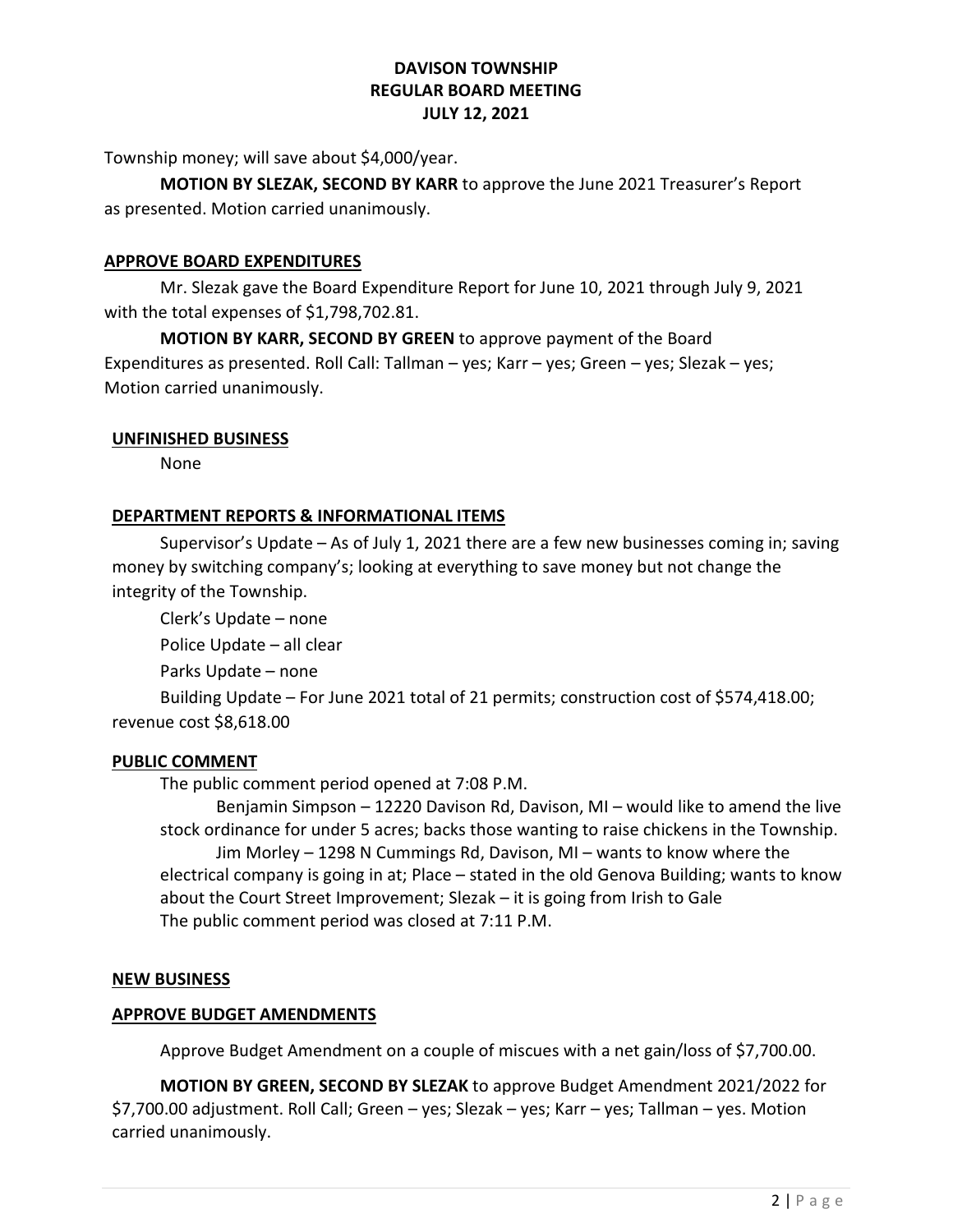Township money; will save about \$4,000/year.

MOTION BY SLEZAK, SECOND BY KARR to approve the June 2021 Treasurer's Report as presented. Motion carried unanimously.

# APPROVE BOARD EXPENDITURES

Mr. Slezak gave the Board Expenditure Report for June 10, 2021 through July 9, 2021 with the total expenses of \$1,798,702.81.

MOTION BY KARR, SECOND BY GREEN to approve payment of the Board Expenditures as presented. Roll Call: Tallman – yes; Karr – yes; Green – yes; Slezak – yes; Motion carried unanimously.

## UNFINISHED BUSINESS

None

## DEPARTMENT REPORTS & INFORMATIONAL ITEMS

Supervisor's Update – As of July 1, 2021 there are a few new businesses coming in; saving money by switching company's; looking at everything to save money but not change the integrity of the Township.

 Clerk's Update – none Police Update – all clear

Parks Update – none

 Building Update – For June 2021 total of 21 permits; construction cost of \$574,418.00; revenue cost \$8,618.00

### PUBLIC COMMENT

The public comment period opened at 7:08 P.M.

 Benjamin Simpson – 12220 Davison Rd, Davison, MI – would like to amend the live stock ordinance for under 5 acres; backs those wanting to raise chickens in the Township. Jim Morley – 1298 N Cummings Rd, Davison, MI – wants to know where the electrical company is going in at; Place – stated in the old Genova Building; wants to know about the Court Street Improvement; Slezak – it is going from Irish to Gale The public comment period was closed at 7:11 P.M.

### NEW BUSINESS

### APPROVE BUDGET AMENDMENTS

Approve Budget Amendment on a couple of miscues with a net gain/loss of \$7,700.00.

MOTION BY GREEN, SECOND BY SLEZAK to approve Budget Amendment 2021/2022 for \$7,700.00 adjustment. Roll Call; Green – yes; Slezak – yes; Karr – yes; Tallman – yes. Motion carried unanimously.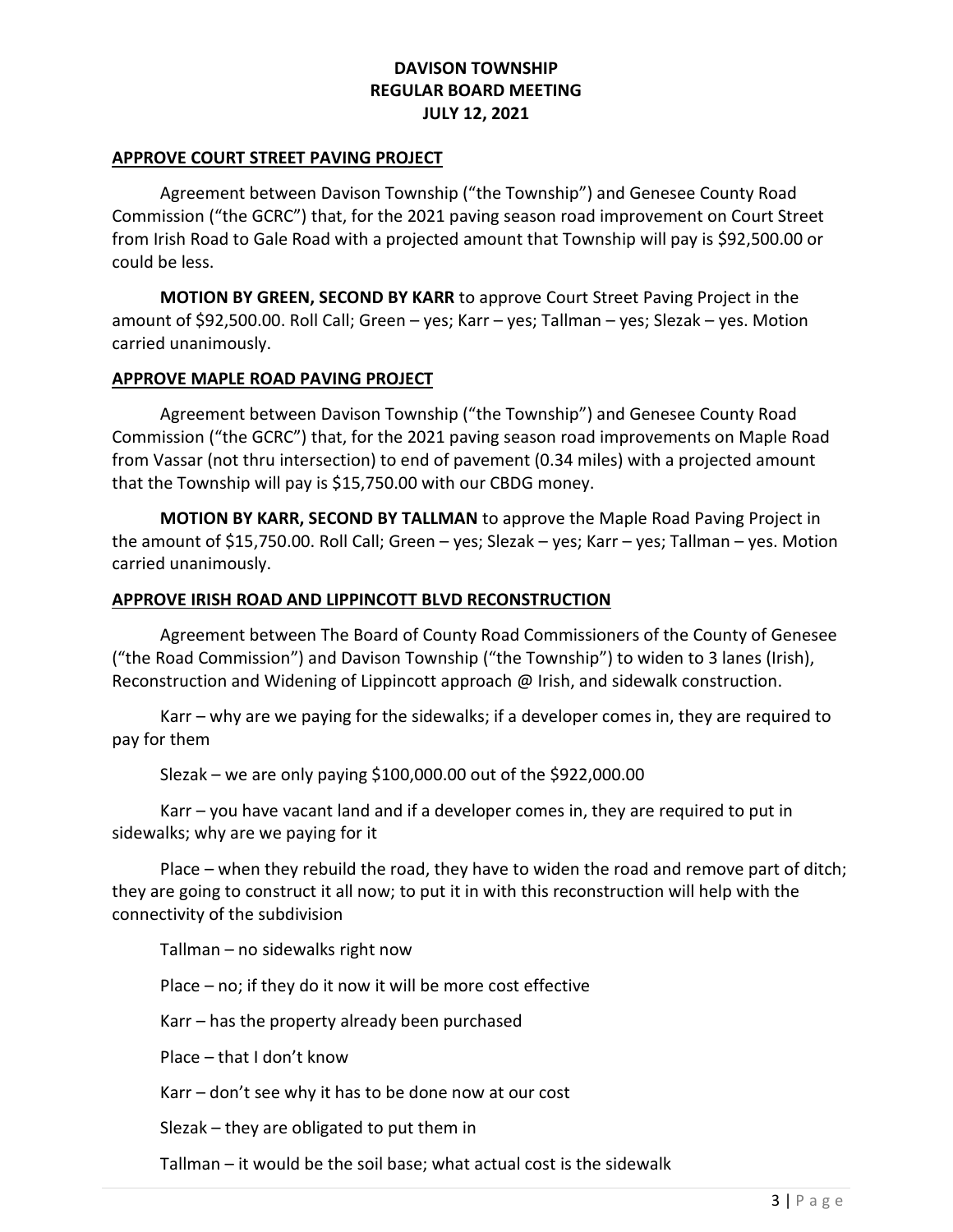#### APPROVE COURT STREET PAVING PROJECT

 Agreement between Davison Township ("the Township") and Genesee County Road Commission ("the GCRC") that, for the 2021 paving season road improvement on Court Street from Irish Road to Gale Road with a projected amount that Township will pay is \$92,500.00 or could be less.

MOTION BY GREEN, SECOND BY KARR to approve Court Street Paving Project in the amount of \$92,500.00. Roll Call; Green – yes; Karr – yes; Tallman – yes; Slezak – yes. Motion carried unanimously.

#### APPROVE MAPLE ROAD PAVING PROJECT

 Agreement between Davison Township ("the Township") and Genesee County Road Commission ("the GCRC") that, for the 2021 paving season road improvements on Maple Road from Vassar (not thru intersection) to end of pavement (0.34 miles) with a projected amount that the Township will pay is \$15,750.00 with our CBDG money.

MOTION BY KARR, SECOND BY TALLMAN to approve the Maple Road Paving Project in the amount of \$15,750.00. Roll Call; Green – yes; Slezak – yes; Karr – yes; Tallman – yes. Motion carried unanimously.

#### APPROVE IRISH ROAD AND LIPPINCOTT BLVD RECONSTRUCTION

 Agreement between The Board of County Road Commissioners of the County of Genesee ("the Road Commission") and Davison Township ("the Township") to widen to 3 lanes (Irish), Reconstruction and Widening of Lippincott approach @ Irish, and sidewalk construction.

 Karr – why are we paying for the sidewalks; if a developer comes in, they are required to pay for them

Slezak – we are only paying \$100,000.00 out of the \$922,000.00

 Karr – you have vacant land and if a developer comes in, they are required to put in sidewalks; why are we paying for it

 Place – when they rebuild the road, they have to widen the road and remove part of ditch; they are going to construct it all now; to put it in with this reconstruction will help with the connectivity of the subdivision

Tallman – no sidewalks right now

Place – no; if they do it now it will be more cost effective

Karr – has the property already been purchased

Place – that I don't know

Karr – don't see why it has to be done now at our cost

Slezak – they are obligated to put them in

Tallman – it would be the soil base; what actual cost is the sidewalk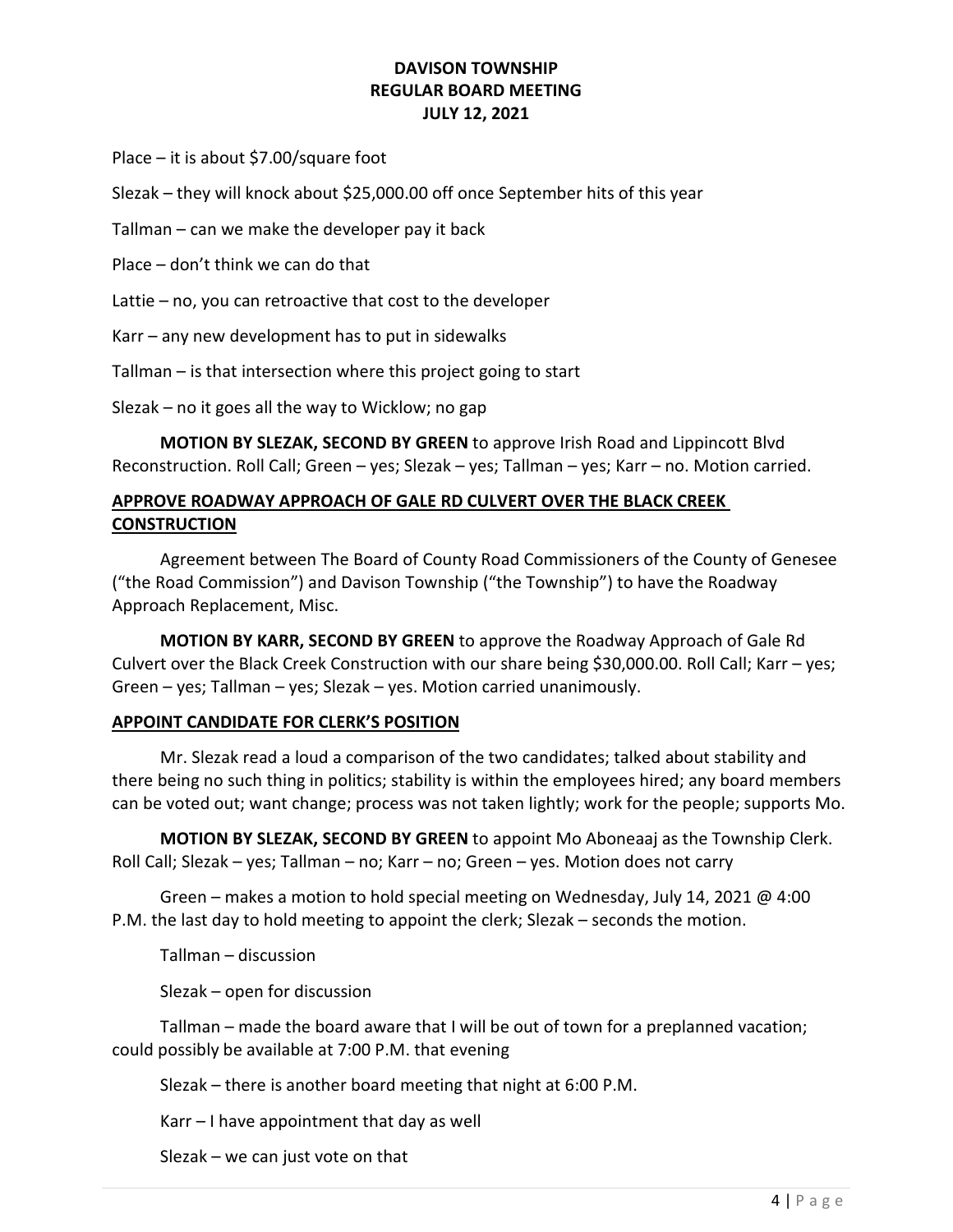Place – it is about \$7.00/square foot

Slezak – they will knock about \$25,000.00 off once September hits of this year

Tallman – can we make the developer pay it back

Place – don't think we can do that

Lattie – no, you can retroactive that cost to the developer

Karr – any new development has to put in sidewalks

Tallman – is that intersection where this project going to start

Slezak – no it goes all the way to Wicklow; no gap

 MOTION BY SLEZAK, SECOND BY GREEN to approve Irish Road and Lippincott Blvd Reconstruction. Roll Call; Green – yes; Slezak – yes; Tallman – yes; Karr – no. Motion carried.

# APPROVE ROADWAY APPROACH OF GALE RD CULVERT OVER THE BLACK CREEK **CONSTRUCTION**

 Agreement between The Board of County Road Commissioners of the County of Genesee ("the Road Commission") and Davison Township ("the Township") to have the Roadway Approach Replacement, Misc.

MOTION BY KARR, SECOND BY GREEN to approve the Roadway Approach of Gale Rd Culvert over the Black Creek Construction with our share being \$30,000.00. Roll Call; Karr – yes; Green – yes; Tallman – yes; Slezak – yes. Motion carried unanimously.

### APPOINT CANDIDATE FOR CLERK'S POSITION

 Mr. Slezak read a loud a comparison of the two candidates; talked about stability and there being no such thing in politics; stability is within the employees hired; any board members can be voted out; want change; process was not taken lightly; work for the people; supports Mo.

MOTION BY SLEZAK, SECOND BY GREEN to appoint Mo Aboneaaj as the Township Clerk. Roll Call; Slezak – yes; Tallman – no; Karr – no; Green – yes. Motion does not carry

Green – makes a motion to hold special meeting on Wednesday, July 14, 2021 @ 4:00 P.M. the last day to hold meeting to appoint the clerk; Slezak – seconds the motion.

Tallman – discussion

Slezak – open for discussion

 Tallman – made the board aware that I will be out of town for a preplanned vacation; could possibly be available at 7:00 P.M. that evening

Slezak – there is another board meeting that night at 6:00 P.M.

Karr – I have appointment that day as well

Slezak – we can just vote on that